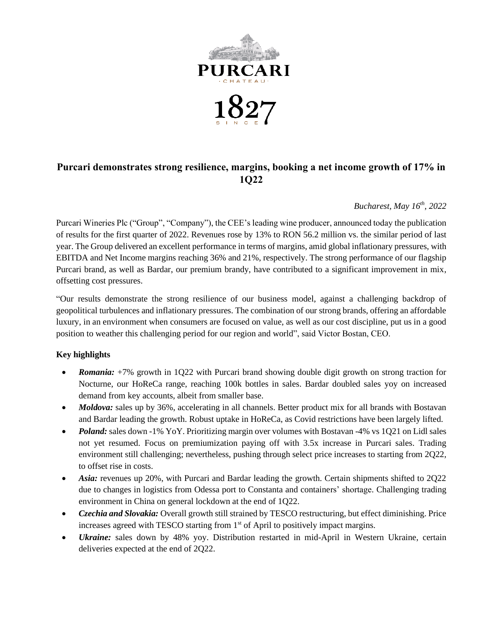

# **Purcari demonstrates strong resilience, margins, booking a net income growth of 17% in 1Q22**

# *Bucharest, May 16 th, 2022*

Purcari Wineries Plc ("Group", "Company"), the CEE's leading wine producer, announced today the publication of results for the first quarter of 2022. Revenues rose by 13% to RON 56.2 million vs. the similar period of last year. The Group delivered an excellent performance in terms of margins, amid global inflationary pressures, with EBITDA and Net Income margins reaching 36% and 21%, respectively. The strong performance of our flagship Purcari brand, as well as Bardar, our premium brandy, have contributed to a significant improvement in mix, offsetting cost pressures.

"Our results demonstrate the strong resilience of our business model, against a challenging backdrop of geopolitical turbulences and inflationary pressures. The combination of our strong brands, offering an affordable luxury, in an environment when consumers are focused on value, as well as our cost discipline, put us in a good position to weather this challenging period for our region and world", said Victor Bostan, CEO.

# **Key highlights**

- *Romania:* +7% growth in 1Q22 with Purcari brand showing double digit growth on strong traction for Nocturne, our HoReCa range, reaching 100k bottles in sales. Bardar doubled sales yoy on increased demand from key accounts, albeit from smaller base.
- *Moldova:* sales up by 36%, accelerating in all channels. Better product mix for all brands with Bostavan and Bardar leading the growth. Robust uptake in HoReCa, as Covid restrictions have been largely lifted.
- *Poland:* sales down -1% YoY. Prioritizing margin over volumes with Bostavan -4% vs 1Q21 on Lidl sales not yet resumed. Focus on premiumization paying off with 3.5x increase in Purcari sales. Trading environment still challenging; nevertheless, pushing through select price increases to starting from 2Q22, to offset rise in costs.
- *Asia:* revenues up 20%, with Purcari and Bardar leading the growth. Certain shipments shifted to 2Q22 due to changes in logistics from Odessa port to Constanta and containers' shortage. Challenging trading environment in China on general lockdown at the end of 1Q22.
- *Czechia and Slovakia:* Overall growth still strained by TESCO restructuring, but effect diminishing. Price increases agreed with TESCO starting from 1st of April to positively impact margins.
- *Ukraine:* sales down by 48% yoy. Distribution restarted in mid-April in Western Ukraine, certain deliveries expected at the end of 2Q22.